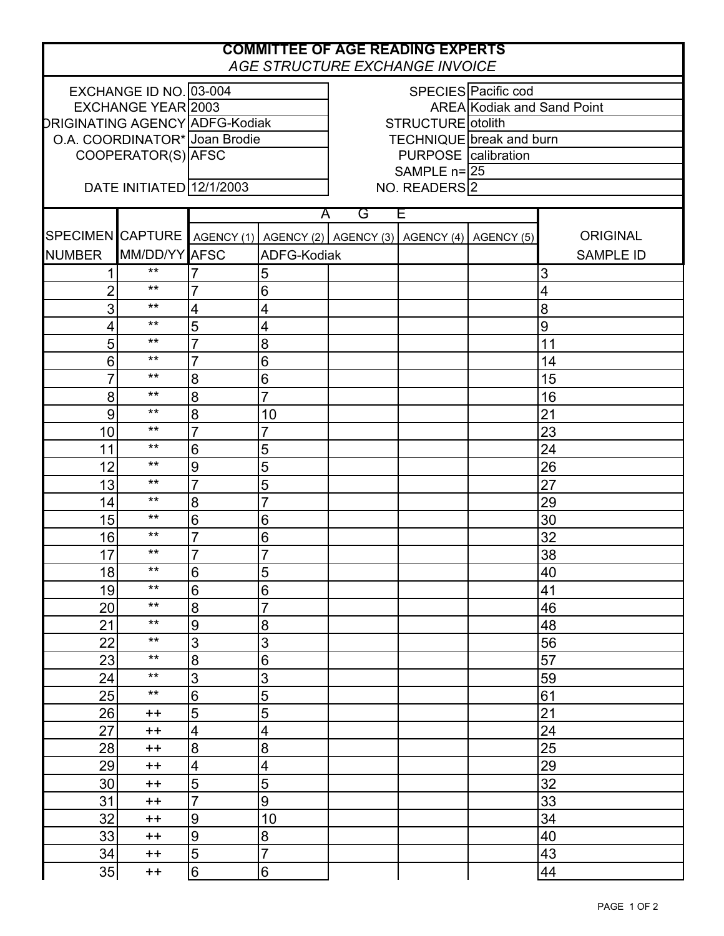| <b>COMMITTEE OF AGE READING EXPERTS</b><br>AGE STRUCTURE EXCHANGE INVOICE |                           |                                |                 |                                                        |             |  |                  |  |  |  |  |
|---------------------------------------------------------------------------|---------------------------|--------------------------------|-----------------|--------------------------------------------------------|-------------|--|------------------|--|--|--|--|
|                                                                           | EXCHANGE ID NO. 03-004    |                                |                 | SPECIES Pacific cod                                    |             |  |                  |  |  |  |  |
|                                                                           | <b>EXCHANGE YEAR 2003</b> |                                |                 | <b>AREA Kodiak and Sand Point</b>                      |             |  |                  |  |  |  |  |
|                                                                           |                           | DRIGINATING AGENCY ADFG-Kodiak |                 | STRUCTURE otolith                                      |             |  |                  |  |  |  |  |
|                                                                           |                           | O.A. COORDINATOR* Joan Brodie  |                 | TECHNIQUE break and burn                               |             |  |                  |  |  |  |  |
| COOPERATOR(S) AFSC                                                        |                           |                                |                 | <b>PURPOSE</b> calibration                             |             |  |                  |  |  |  |  |
|                                                                           |                           |                                |                 |                                                        | SAMPLE n=25 |  |                  |  |  |  |  |
| DATE INITIATED 12/1/2003                                                  |                           |                                |                 | NO. READERS <sup>2</sup>                               |             |  |                  |  |  |  |  |
|                                                                           |                           |                                | A               | G<br>E                                                 |             |  |                  |  |  |  |  |
|                                                                           | SPECIMEN CAPTURE          |                                |                 | AGENCY (1) AGENCY (2) AGENCY (3) AGENCY (4) AGENCY (5) |             |  | <b>ORIGINAL</b>  |  |  |  |  |
| <b>NUMBER</b>                                                             | MM/DD/YY AFSC             |                                | ADFG-Kodiak     |                                                        |             |  | <b>SAMPLE ID</b> |  |  |  |  |
|                                                                           | $***$                     |                                | 5               |                                                        |             |  | 3                |  |  |  |  |
| $\overline{c}$                                                            | $***$                     | $\overline{7}$                 | 6               |                                                        |             |  | $\overline{4}$   |  |  |  |  |
| 3                                                                         | $\star\star$              | 4                              | 4               |                                                        |             |  | 8                |  |  |  |  |
| $\overline{\mathbf{4}}$                                                   | $\star\star$              | $\overline{5}$                 | 4               |                                                        |             |  | $\overline{9}$   |  |  |  |  |
| 5                                                                         | $***$                     | $\overline{7}$                 | 8               |                                                        |             |  | 11               |  |  |  |  |
| 6                                                                         | $***$                     | $\overline{7}$                 | 6               |                                                        |             |  | 14               |  |  |  |  |
| $\overline{7}$                                                            | $***$                     | $\boldsymbol{8}$               | $\,6$           |                                                        |             |  | 15               |  |  |  |  |
|                                                                           | $***$                     | 8                              | $\overline{7}$  |                                                        |             |  |                  |  |  |  |  |
| 8                                                                         | $\star\star$              |                                |                 |                                                        |             |  | 16               |  |  |  |  |
| 9                                                                         | $***$                     | 8                              | 10              |                                                        |             |  | 21               |  |  |  |  |
| 10                                                                        | $***$                     | $\overline{7}$                 | $\overline{7}$  |                                                        |             |  | 23               |  |  |  |  |
| 11                                                                        | $***$                     | $6\phantom{1}6$                | 5               |                                                        |             |  | 24               |  |  |  |  |
| 12                                                                        | $***$                     | 9                              | 5               |                                                        |             |  | 26               |  |  |  |  |
| 13                                                                        |                           | $\overline{7}$                 | 5               |                                                        |             |  | 27               |  |  |  |  |
| 14                                                                        | $***$                     | $\boldsymbol{8}$               | $\overline{7}$  |                                                        |             |  | 29               |  |  |  |  |
| 15                                                                        | $***$                     | 6                              | $6\phantom{1}6$ |                                                        |             |  | 30               |  |  |  |  |
| 16                                                                        | $***$                     | $\overline{7}$                 | $\overline{6}$  |                                                        |             |  | 32               |  |  |  |  |
| 17                                                                        | $***$                     | $\overline{7}$                 | $\overline{7}$  |                                                        |             |  | 38               |  |  |  |  |
| 18                                                                        | $***$                     | $\overline{6}$                 | 5               |                                                        |             |  | 40               |  |  |  |  |
| 19                                                                        | $***$                     | $6\phantom{1}$                 | $\overline{6}$  |                                                        |             |  | 41               |  |  |  |  |
| 20                                                                        | $***$                     | $\boldsymbol{8}$               | $\overline{7}$  |                                                        |             |  | 46               |  |  |  |  |
| 21                                                                        | $***$                     | $\overline{9}$                 | 8               |                                                        |             |  | 48               |  |  |  |  |
| 22                                                                        | $***$                     | 3                              | 3               |                                                        |             |  | 56               |  |  |  |  |
| 23                                                                        | $***$                     | $\boldsymbol{8}$               | 6               |                                                        |             |  | 57               |  |  |  |  |
| 24                                                                        | $***$                     | 3                              | 3               |                                                        |             |  | 59               |  |  |  |  |
| 25                                                                        | $**$                      | 6                              | $\overline{5}$  |                                                        |             |  | 61               |  |  |  |  |
| 26                                                                        | $^{\mathrm{+}}$           | 5                              | $\overline{5}$  |                                                        |             |  | 21               |  |  |  |  |
| 27                                                                        | $++$                      | $\overline{\mathbf{4}}$        | 4               |                                                        |             |  | 24               |  |  |  |  |
| 28                                                                        | $++$                      | 8                              | $\overline{8}$  |                                                        |             |  | 25               |  |  |  |  |
| 29                                                                        | $++$                      | $\overline{\mathbf{4}}$        | $\overline{4}$  |                                                        |             |  | 29               |  |  |  |  |
| 30                                                                        | $^{\mathrm{+}}$           | 5                              | $\overline{5}$  |                                                        |             |  | 32               |  |  |  |  |
| 31                                                                        | $^{\mathrm{+}}$           | $\overline{7}$                 | 9               |                                                        |             |  | 33               |  |  |  |  |
| 32                                                                        | $++$                      | 9                              | 10              |                                                        |             |  | 34               |  |  |  |  |
| 33                                                                        | $++$                      | $\overline{9}$                 | 8               |                                                        |             |  | 40               |  |  |  |  |
| 34                                                                        | $++$                      | $\overline{5}$                 | $\overline{7}$  |                                                        |             |  | 43               |  |  |  |  |
| 35                                                                        | $++$                      | $\,6$                          | 6               |                                                        |             |  | 44               |  |  |  |  |